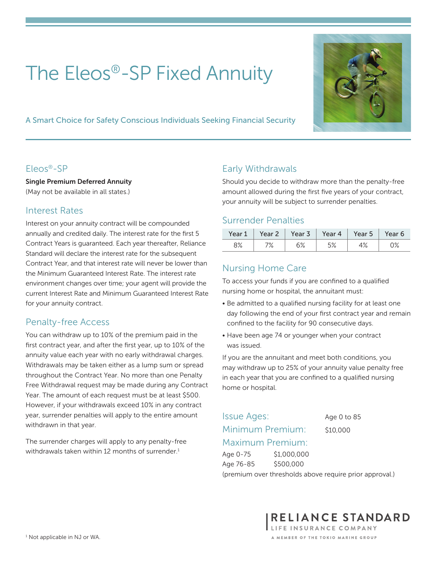# The Eleos®-SP Fixed Annuity

A Smart Choice for Safety Conscious Individuals Seeking Financial Security

#### Eleos®-SP

Single Premium Deferred Annuity (May not be available in all states.)

#### Interest Rates

Interest on your annuity contract will be compounded annually and credited daily. The interest rate for the first 5 Contract Years is guaranteed. Each year thereafter, Reliance Standard will declare the interest rate for the subsequent Contract Year, and that interest rate will never be lower than the Minimum Guaranteed Interest Rate. The interest rate environment changes over time; your agent will provide the current Interest Rate and Minimum Guaranteed Interest Rate for your annuity contract.

## Penalty-free Access

You can withdraw up to 10% of the premium paid in the first contract year, and after the first year, up to 10% of the annuity value each year with no early withdrawal charges. Withdrawals may be taken either as a lump sum or spread throughout the Contract Year. No more than one Penalty Free Withdrawal request may be made during any Contract Year. The amount of each request must be at least \$500. However, if your withdrawals exceed 10% in any contract year, surrender penalties will apply to the entire amount withdrawn in that year.

The surrender charges will apply to any penalty-free withdrawals taken within 12 months of surrender.<sup>1</sup>

## Early Withdrawals

Should you decide to withdraw more than the penalty-free amount allowed during the first five years of your contract, your annuity will be subject to surrender penalties.

#### Surrender Penalties

| Year 1    | Year 2         | Year 3       | Year 4 | Year 5 | Year 6 |
|-----------|----------------|--------------|--------|--------|--------|
| 0%<br>O/o | $\sqrt{\circ}$ | رہ ہے<br>◡∕∘ | ە⁄ ب   | † ⁄o   | ہ/ ل   |

## Nursing Home Care

To access your funds if you are confined to a qualified nursing home or hospital, the annuitant must:

- Be admitted to a qualified nursing facility for at least one day following the end of your first contract year and remain confined to the facility for 90 consecutive days.
- Have been age 74 or younger when your contract was issued.

If you are the annuitant and meet both conditions, you may withdraw up to 25% of your annuity value penalty free in each year that you are confined to a qualified nursing home or hospital.

# Issue Ages: Age 0 to 85 Minimum Premium: \$10,000 Maximum Premium:

Age 0-75 \$1,000,000 Age 76-85 \$500,000

(premium over thresholds above require prior approval.)

RELIANCE STANDARD LIFE INSURANCE COMPANY A MEMBER OF THE TOKIO MARINE GROUP